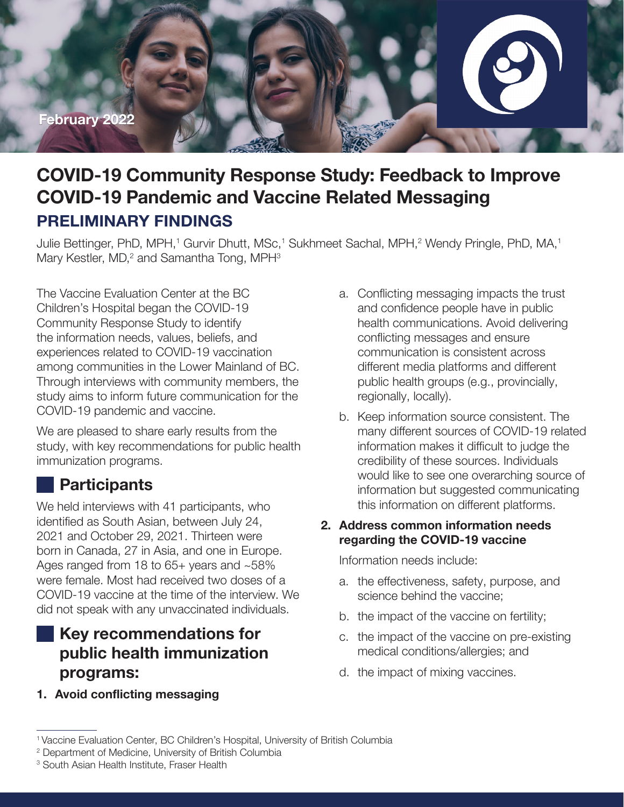

# **COVID-19 Community Response Study: Feedback to Improve COVID-19 Pandemic and Vaccine Related Messaging PRELIMINARY FINDINGS**

Julie Bettinger, PhD, MPH,<sup>1</sup> Gurvir Dhutt, MSc,<sup>1</sup> Sukhmeet Sachal, MPH,<sup>2</sup> Wendy Pringle, PhD, MA,<sup>1</sup> Mary Kestler, MD,<sup>2</sup> and Samantha Tong, MPH<sup>3</sup>

The Vaccine Evaluation Center at the BC Children's Hospital began the COVID-19 Community Response Study to identify the information needs, values, beliefs, and experiences related to COVID-19 vaccination among communities in the Lower Mainland of BC. Through interviews with community members, the study aims to inform future communication for the COVID-19 pandemic and vaccine.

We are pleased to share early results from the study, with key recommendations for public health immunization programs.

## **Participants**

We held interviews with 41 participants, who identified as South Asian, between July 24, 2021 and October 29, 2021. Thirteen were born in Canada, 27 in Asia, and one in Europe. Ages ranged from 18 to 65+ years and ~58% were female. Most had received two doses of a COVID-19 vaccine at the time of the interview. We did not speak with any unvaccinated individuals.

## **Key recommendations for public health immunization programs:**

**1. Avoid conflicting messaging**

- a. Conflicting messaging impacts the trust and confidence people have in public health communications. Avoid delivering conflicting messages and ensure communication is consistent across different media platforms and different public health groups (e.g., provincially, regionally, locally).
- b. Keep information source consistent. The many different sources of COVID-19 related information makes it difficult to judge the credibility of these sources. Individuals would like to see one overarching source of information but suggested communicating this information on different platforms.

#### **2. Address common information needs regarding the COVID-19 vaccine**

Information needs include:

- a. the effectiveness, safety, purpose, and science behind the vaccine;
- b. the impact of the vaccine on fertility;
- c. the impact of the vaccine on pre-existing medical conditions/allergies; and
- d. the impact of mixing vaccines.

<sup>&</sup>lt;sup>1</sup> Vaccine Evaluation Center, BC Children's Hospital, University of British Columbia

<sup>2</sup> Department of Medicine, University of British Columbia

<sup>3</sup> South Asian Health Institute, Fraser Health